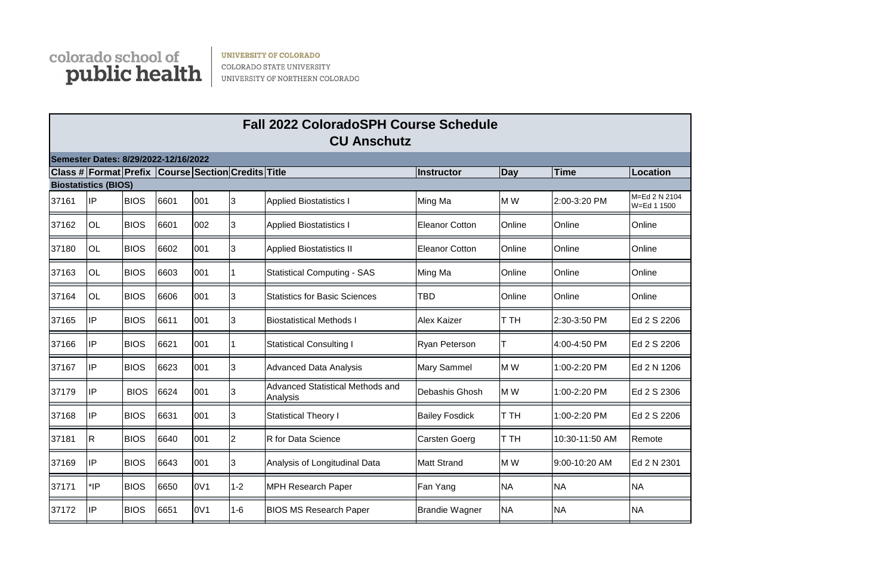

**UNIVERSITY OF COLORADO** COLORADO STATE UNIVERSITY UNIVERSITY OF NORTHERN COLORADO



|       | Semester Dates: 8/29/2022-12/16/2022               |             |      |                  |          |                                                     |                       |           |                |                              |
|-------|----------------------------------------------------|-------------|------|------------------|----------|-----------------------------------------------------|-----------------------|-----------|----------------|------------------------------|
|       | Class # Format Prefix Course Section Credits Title |             |      |                  |          |                                                     | lInstructor           | Day       | <b>Time</b>    | Location                     |
|       | <b>Biostatistics (BIOS)</b>                        |             |      |                  |          |                                                     |                       |           |                |                              |
| 37161 | liP                                                | <b>BIOS</b> | 6601 | 001              | 3        | <b>Applied Biostatistics I</b>                      | Ming Ma               | M W       | 2:00-3:20 PM   | M=Ed 2 N 2104<br>W=Ed 1 1500 |
| 37162 | <b>OL</b>                                          | <b>BIOS</b> | 6601 | 002              | 3        | <b>Applied Biostatistics I</b>                      | Eleanor Cotton        | Online    | Online         | Online                       |
| 37180 | <b>OL</b>                                          | <b>BIOS</b> | 6602 | 001              | 3        | <b>Applied Biostatistics II</b>                     | <b>Eleanor Cotton</b> | Online    | Online         | Online                       |
| 37163 | <b>OL</b>                                          | <b>BIOS</b> | 6603 | 001              |          | <b>Statistical Computing - SAS</b>                  | Ming Ma               | Online    | Online         | Online                       |
| 37164 | OL                                                 | <b>BIOS</b> | 6606 | 001              | 3        | <b>Statistics for Basic Sciences</b>                | <b>TBD</b>            | Online    | Online         | Online                       |
| 37165 | IP)                                                | <b>BIOS</b> | 6611 | 001              | 3        | <b>Biostatistical Methods I</b>                     | <b>Alex Kaizer</b>    | T TH      | 2:30-3:50 PM   | Ed 2 S 2206                  |
| 37166 | lIP                                                | <b>BIOS</b> | 6621 | 001              |          | <b>Statistical Consulting I</b>                     | <b>Ryan Peterson</b>  | Т         | 4:00-4:50 PM   | Ed 2 S 2206                  |
| 37167 | lIP                                                | <b>BIOS</b> | 6623 | 001              | 3        | <b>Advanced Data Analysis</b>                       | Mary Sammel           | M W       | 1:00-2:20 PM   | Ed 2 N 1206                  |
| 37179 | IP                                                 | <b>BIOS</b> | 6624 | 001              | 3        | <b>Advanced Statistical Methods and</b><br>Analysis | Debashis Ghosh        | M W       | 1:00-2:20 PM   | Ed 2 S 2306                  |
| 37168 | lıP                                                | <b>BIOS</b> | 6631 | 001              | 3        | <b>Statistical Theory I</b>                         | <b>Bailey Fosdick</b> | T TH      | 1:00-2:20 PM   | Ed 2 S 2206                  |
| 37181 | R                                                  | <b>BIOS</b> | 6640 | 001              | <b>2</b> | R for Data Science                                  | Carsten Goerg         | T TH      | 10:30-11:50 AM | Remote                       |
| 37169 | IP                                                 | <b>BIOS</b> | 6643 | 001              | IЗ       | Analysis of Longitudinal Data                       | Matt Strand           | M W       | 9:00-10:20 AM  | Ed 2 N 2301                  |
| 37171 | $*$ IP                                             | <b>BIOS</b> | 6650 | 0V1              | $1 - 2$  | <b>MPH Research Paper</b>                           | Fan Yang              | <b>NA</b> | <b>NA</b>      | <b>NA</b>                    |
| 37172 | IP                                                 | <b>BIOS</b> | 6651 | 0 <sub>V</sub> 1 | $1 - 6$  | <b>BIOS MS Research Paper</b>                       | <b>Brandie Wagner</b> | <b>NA</b> | <b>NA</b>      | <b>NA</b>                    |

## **Fall 2022 ColoradoSPH Course Schedule CU Anschutz**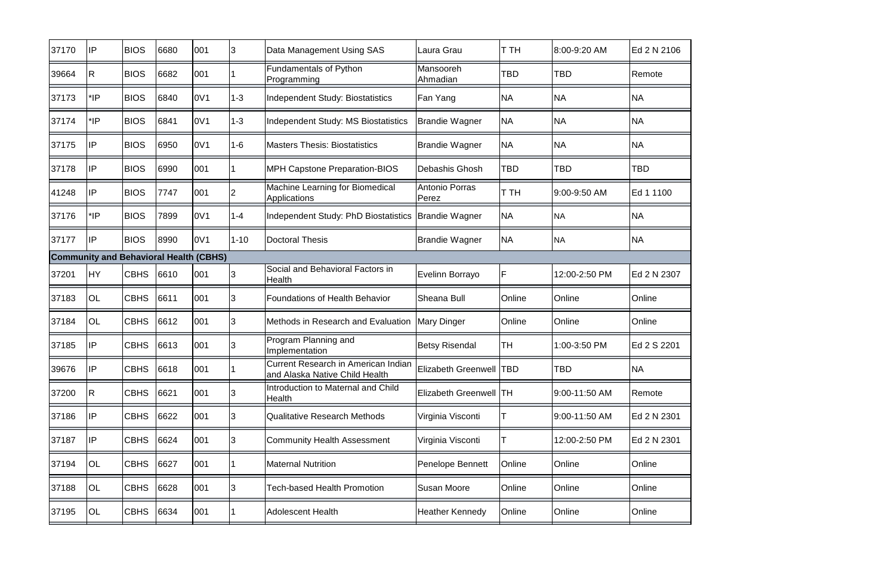| 37170 | IP                                            | <b>BIOS</b> | 6680 | 001             | 3        | Data Management Using SAS                                             | Laura Grau                     | <b>T</b> TH | 8:00-9:20 AM  | Ed 2 N 2106 |
|-------|-----------------------------------------------|-------------|------|-----------------|----------|-----------------------------------------------------------------------|--------------------------------|-------------|---------------|-------------|
| 39664 | R.                                            | <b>BIOS</b> | 6682 | 001             |          | <b>Fundamentals of Python</b><br>Programming                          | Mansooreh<br>Ahmadian          | TBD         | TBD           | Remote      |
| 37173 | *IP                                           | <b>BIOS</b> | 6840 | 0V1             | $1 - 3$  | Independent Study: Biostatistics                                      | Fan Yang                       | <b>NA</b>   | <b>NA</b>     | <b>NA</b>   |
| 37174 | $*$ IP                                        | <b>BIOS</b> | 6841 | 0V <sub>1</sub> | $1 - 3$  | Independent Study: MS Biostatistics                                   | <b>Brandie Wagner</b>          | <b>NA</b>   | <b>NA</b>     | <b>NA</b>   |
| 37175 | IP                                            | <b>BIOS</b> | 6950 | 0V1             | $1 - 6$  | <b>Masters Thesis: Biostatistics</b>                                  | <b>Brandie Wagner</b>          | <b>NA</b>   | <b>NA</b>     | <b>NA</b>   |
| 37178 | IP                                            | <b>BIOS</b> | 6990 | 001             |          | <b>MPH Capstone Preparation-BIOS</b>                                  | Debashis Ghosh                 | <b>TBD</b>  | <b>TBD</b>    | <b>TBD</b>  |
| 41248 | IP                                            | <b>BIOS</b> | 7747 | 001             | 2        | Machine Learning for Biomedical<br>Applications                       | Antonio Porras<br><b>Perez</b> | T TH        | 9:00-9:50 AM  | Ed 1 1100   |
| 37176 | *IP                                           | <b>BIOS</b> | 7899 | 0V1             | $1 - 4$  | Independent Study: PhD Biostatistics                                  | Brandie Wagner                 | <b>NA</b>   | <b>NA</b>     | <b>NA</b>   |
| 37177 | IP                                            | <b>BIOS</b> | 8990 | 0V1             | $1 - 10$ | Doctoral Thesis                                                       | <b>Brandie Wagner</b>          | <b>NA</b>   | <b>NA</b>     | <b>NA</b>   |
|       | <b>Community and Behavioral Health (CBHS)</b> |             |      |                 |          |                                                                       |                                |             |               |             |
| 37201 | <b>HY</b>                                     | <b>CBHS</b> | 6610 | 001             | 13       | Social and Behavioral Factors in<br><b>Health</b>                     | Evelinn Borrayo                | F           | 12:00-2:50 PM | Ed 2 N 2307 |
| 37183 | <b>OL</b>                                     | <b>CBHS</b> | 6611 | 001             | 3        | <b>Foundations of Health Behavior</b>                                 | Sheana Bull                    | Online      | Online        | Online      |
| 37184 | OL                                            | <b>CBHS</b> | 6612 | 001             | 3        | Methods in Research and Evaluation                                    | Mary Dinger                    | Online      | Online        | Online      |
| 37185 | ∣IP                                           | <b>CBHS</b> | 6613 | 001             | 3        | Program Planning and<br>Implementation                                | <b>Betsy Risendal</b>          | lтн         | 1:00-3:50 PM  | Ed 2 S 2201 |
| 39676 | $\mathsf{IP}$                                 | <b>CBHS</b> | 6618 | 001             |          | Current Research in American Indian<br>and Alaska Native Child Health | Elizabeth Greenwell   TBD      |             | TBD           | <b>NA</b>   |
| 37200 | R                                             | <b>CBHS</b> | 6621 | 001             | IЗ       | Introduction to Maternal and Child<br>Health                          | <b>Elizabeth Greenwell TH</b>  |             | 9:00-11:50 AM | Remote      |
| 37186 | IP                                            | <b>CBHS</b> | 6622 | 001             | 3        | <b>Qualitative Research Methods</b>                                   | Virginia Visconti              |             | 9:00-11:50 AM | Ed 2 N 2301 |
| 37187 | IP                                            | <b>CBHS</b> | 6624 | 001             | 3        | <b>Community Health Assessment</b>                                    | Virginia Visconti              |             | 12:00-2:50 PM | Ed 2 N 2301 |
| 37194 | OL                                            | <b>CBHS</b> | 6627 | 001             |          | <b>Maternal Nutrition</b>                                             | <b>Penelope Bennett</b>        | Online      | Online        | Online      |
| 37188 | OL                                            | <b>CBHS</b> | 6628 | 001             | Ι3       | <b>Tech-based Health Promotion</b>                                    | <b>Susan Moore</b>             | Online      | Online        | Online      |
| 37195 | OL                                            | <b>CBHS</b> | 6634 | 001             |          | <b>Adolescent Health</b>                                              | <b>Heather Kennedy</b>         | Online      | Online        | Online      |
|       |                                               |             |      |                 |          |                                                                       |                                |             |               |             |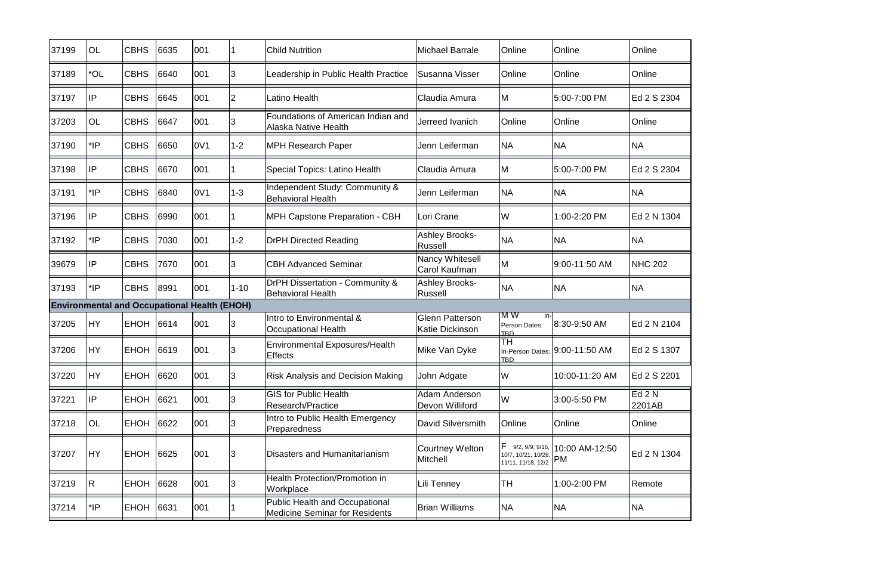| 37199 | <b>OL</b>      | <b>CBHS</b> | 6635 | 001                                                 |          | <b>Child Nutrition</b>                                                  | <b>Michael Barrale</b>                           | Online                                       | Online                               | Online           |
|-------|----------------|-------------|------|-----------------------------------------------------|----------|-------------------------------------------------------------------------|--------------------------------------------------|----------------------------------------------|--------------------------------------|------------------|
| 37189 | *OL            | <b>CBHS</b> | 6640 | 001                                                 | 3        | Leadership in Public Health Practice                                    | Susanna Visser                                   | Online                                       | Online                               | Online           |
| 37197 | IP             | <b>CBHS</b> | 6645 | 001                                                 | 2        | Latino Health                                                           | Claudia Amura                                    | M                                            | 5:00-7:00 PM                         | Ed 2 S 2304      |
| 37203 | <b>OL</b>      | <b>CBHS</b> | 6647 | 001                                                 | 3        | Foundations of American Indian and<br>Alaska Native Health              | Jerreed Ivanich                                  | Online                                       | Online                               | Online           |
| 37190 | $*$ IP         | <b>CBHS</b> | 6650 | 0 <sub>V</sub> 1                                    | $1 - 2$  | <b>MPH Research Paper</b>                                               | Jenn Leiferman                                   | <b>NA</b>                                    | <b>NA</b>                            | <b>NA</b>        |
| 37198 | IP             | <b>CBHS</b> | 6670 | 001                                                 |          | Special Topics: Latino Health                                           | Claudia Amura                                    | M                                            | 5:00-7:00 PM                         | Ed 2 S 2304      |
| 37191 | *IP            | <b>CBHS</b> | 6840 | 0V1                                                 | $1 - 3$  | Independent Study: Community &<br><b>Behavioral Health</b>              | Jenn Leiferman                                   | <b>NA</b>                                    | <b>NA</b>                            | <b>NA</b>        |
| 37196 | $\mathsf{IIP}$ | <b>CBHS</b> | 6990 | 001                                                 |          | <b>MPH Capstone Preparation - CBH</b>                                   | Lori Crane                                       | W                                            | 1:00-2:20 PM                         | Ed 2 N 1304      |
| 37192 | $*$ IP         | <b>CBHS</b> | 7030 | 001                                                 | $1 - 2$  | <b>DrPH Directed Reading</b>                                            | <b>Ashley Brooks-</b><br>Russell                 | <b>NA</b>                                    | <b>NA</b>                            | <b>NA</b>        |
| 39679 | ∣IP            | <b>CBHS</b> | 7670 | 001                                                 | 3        | <b>CBH Advanced Seminar</b>                                             | Nancy Whitesell<br>Carol Kaufman                 | <b>M</b>                                     | 9:00-11:50 AM                        | <b>NHC 202</b>   |
| 37193 | $*$ IP         | <b>CBHS</b> | 8991 | 001                                                 | $1 - 10$ | DrPH Dissertation - Community &<br><b>Behavioral Health</b>             | <b>Ashley Brooks-</b><br>Russell                 | <b>NA</b>                                    | <b>NA</b>                            | <b>NA</b>        |
|       |                |             |      | <b>Environmental and Occupational Health (EHOH)</b> |          |                                                                         |                                                  |                                              |                                      |                  |
| 37205 | <b>HY</b>      | <b>EHOH</b> | 6614 | 001                                                 | 3        | Intro to Environmental &<br><b>Occupational Health</b>                  | <b>Glenn Patterson</b><br><b>Katie Dickinson</b> | IM W<br>$In-$<br>Person Dates:<br><b>TRD</b> | 8:30-9:50 AM                         | Ed 2 N 2104      |
| 37206 | <b>HY</b>      | <b>EHOH</b> | 6619 | 001                                                 | 3        | <b>Environmental Exposures/Health</b><br><b>Effects</b>                 | Mike Van Dyke                                    | ТH<br>TRD.                                   | In-Person Dates: 9:00-11:50 AM       | Ed 2 S 1307      |
| 37220 | <b>HY</b>      | <b>EHOH</b> | 6620 | 001                                                 | 3        | <b>Risk Analysis and Decision Making</b>                                | John Adgate                                      | W                                            | 10:00-11:20 AM                       | Ed 2 S 2201      |
| 37221 | IP             | <b>EHOH</b> | 6621 | 001                                                 | 3        | <b>GIS for Public Health</b><br>Research/Practice                       | <b>Adam Anderson</b><br>Devon Williford          | W                                            | 3:00-5:50 PM                         | Ed 2 N<br>2201AB |
| 37218 | OL             | <b>EHOH</b> | 6622 | 001                                                 | 3        | Intro to Public Health Emergency<br>Preparedness                        | David Silversmith                                | Online                                       | Online                               | Online           |
| 37207 | <b>HY</b>      | <b>EHOH</b> | 6625 | 001                                                 | 3        | <b>Disasters and Humanitarianism</b>                                    | <b>Courtney Welton</b><br><b>Mitchell</b>        | 10/7, 10/21, 10/28,<br>11/11, 11/18, 12/2    | 9/2, 9/9, 9/16, 10:00 AM-12:50<br>PM | Ed 2 N 1304      |
| 37219 | <sup>R</sup>   | <b>EHOH</b> | 6628 | 001                                                 | 3        | <b>Health Protection/Promotion in</b><br>Workplace                      | Lili Tenney                                      | <b>TH</b>                                    | 1:00-2:00 PM                         | Remote           |
| 37214 | $*$ IP         | <b>EHOH</b> | 6631 | 001                                                 |          | Public Health and Occupational<br><b>Medicine Seminar for Residents</b> | <b>Brian Williams</b>                            | <b>NA</b>                                    | <b>NA</b>                            | <b>NA</b>        |
|       |                |             |      |                                                     |          |                                                                         |                                                  |                                              |                                      |                  |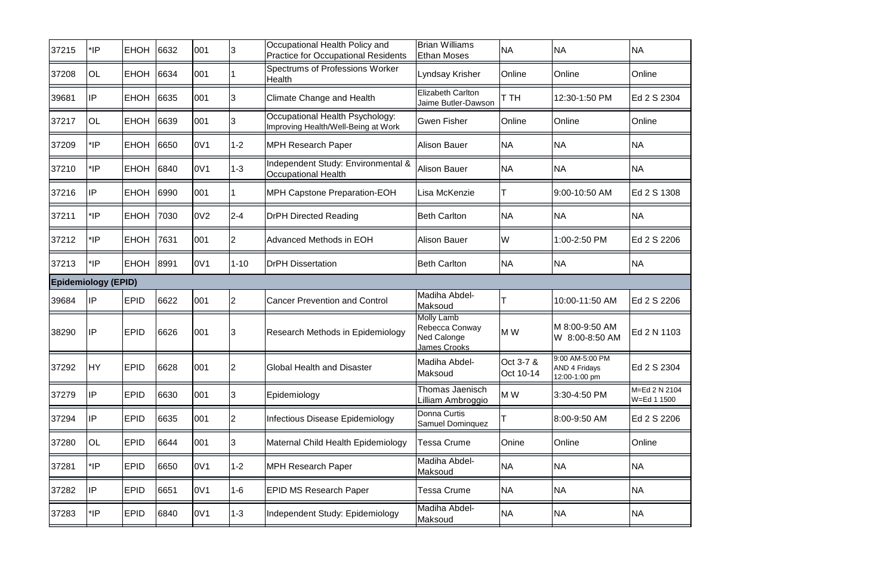| 37215 | *IP                        | <b>EHOH</b> | 6632 | 001             | 3              | Occupational Health Policy and<br><b>Practice for Occupational Residents</b> | <b>Brian Williams</b><br><b>Ethan Moses</b>                               | <b>NA</b>              | <b>NA</b>                                                | <b>NA</b>                    |
|-------|----------------------------|-------------|------|-----------------|----------------|------------------------------------------------------------------------------|---------------------------------------------------------------------------|------------------------|----------------------------------------------------------|------------------------------|
| 37208 | <b>OL</b>                  | <b>EHOH</b> | 6634 | 001             |                | Spectrums of Professions Worker<br>Health                                    | Lyndsay Krisher                                                           | Online                 | Online                                                   | Online                       |
| 39681 | <b>IP</b>                  | <b>EHOH</b> | 6635 | 001             | 3              | <b>Climate Change and Health</b>                                             | <b>Elizabeth Carlton</b><br>Jaime Butler-Dawson                           | T TH                   | 12:30-1:50 PM                                            | Ed 2 S 2304                  |
| 37217 | <b>OL</b>                  | <b>EHOH</b> | 6639 | 001             | 3              | Occupational Health Psychology:<br>Improving Health/Well-Being at Work       | <b>Gwen Fisher</b>                                                        | Online                 | Online                                                   | Online                       |
| 37209 | *IP                        | <b>EHOH</b> | 6650 | 0V1             | $1 - 2$        | <b>MPH Research Paper</b>                                                    | <b>Alison Bauer</b>                                                       | <b>NA</b>              | <b>NA</b>                                                | <b>NA</b>                    |
| 37210 | *IP                        | <b>EHOH</b> | 6840 | 0V1             | $1-3$          | Independent Study: Environmental &<br><b>Occupational Health</b>             | <b>Alison Bauer</b>                                                       | <b>NA</b>              | <b>NA</b>                                                | <b>NA</b>                    |
| 37216 | IP                         | <b>EHOH</b> | 6990 | 001             |                | <b>MPH Capstone Preparation-EOH</b>                                          | Lisa McKenzie                                                             |                        | 9:00-10:50 AM                                            | Ed 2 S 1308                  |
| 37211 | *IP                        | <b>EHOH</b> | 7030 | 0V <sub>2</sub> | $2 - 4$        | <b>DrPH Directed Reading</b>                                                 | <b>Beth Carlton</b>                                                       | <b>NA</b>              | <b>NA</b>                                                | <b>NA</b>                    |
| 37212 | *IP                        | <b>EHOH</b> | 7631 | 001             | 2              | <b>Advanced Methods in EOH</b>                                               | <b>Alison Bauer</b>                                                       | W                      | 1:00-2:50 PM                                             | Ed 2 S 2206                  |
| 37213 | *IP                        | <b>EHOH</b> | 8991 | 0V1             | $1 - 10$       | <b>DrPH Dissertation</b>                                                     | <b>Beth Carlton</b>                                                       | <b>NA</b>              | <b>NA</b>                                                | <b>NA</b>                    |
|       | <b>Epidemiology (EPID)</b> |             |      |                 |                |                                                                              |                                                                           |                        |                                                          |                              |
| 39684 | <b>IP</b>                  | <b>EPID</b> | 6622 | 001             | $\overline{2}$ | <b>Cancer Prevention and Control</b>                                         | Madiha Abdel-<br>Maksoud                                                  |                        | 10:00-11:50 AM                                           | Ed 2 S 2206                  |
| 38290 | IP                         | <b>EPID</b> | 6626 | 001             | 3              | <b>Research Methods in Epidemiology</b>                                      | <b>Molly Lamb</b><br>Rebecca Conway<br><b>Ned Calonge</b><br>James Crooks | M W                    | M 8:00-9:50 AM<br>W 8:00-8:50 AM                         | Ed 2 N 1103                  |
| 37292 | <b>IHY</b>                 | <b>EPID</b> | 6628 | 001             | 2              | Global Health and Disaster                                                   | IMadiha Abdel-<br>Maksoud                                                 | Oct 3-7 &<br>Oct 10-14 | 9:00 AM-5:00 PM<br><b>AND 4 Fridays</b><br>12:00-1:00 pm | Ed 2 S 2304                  |
| 37279 | IP                         | <b>EPID</b> | 6630 | 001             | 3              | Epidemiology                                                                 | Thomas Jaenisch<br>illiam Ambroggio                                       | M W                    | 3:30-4:50 PM                                             | M=Ed 2 N 2104<br>W=Ed 1 1500 |
| 37294 | IP                         | <b>EPID</b> | 6635 | 001             | $\overline{2}$ | Infectious Disease Epidemiology                                              | Donna Curtis<br>Samuel Dominquez                                          |                        | 8:00-9:50 AM                                             | Ed 2 S 2206                  |
| 37280 | OL                         | <b>EPID</b> | 6644 | 001             | 3              | Maternal Child Health Epidemiology                                           | <b>Tessa Crume</b>                                                        | Onine                  | Online                                                   | Online                       |
| 37281 | $^*$ IP                    | <b>EPID</b> | 6650 | 0V1             | $1 - 2$        | <b>MPH Research Paper</b>                                                    | Madiha Abdel-<br>Maksoud                                                  | <b>NA</b>              | <b>NA</b>                                                | <b>NA</b>                    |
| 37282 | <b>IP</b>                  | <b>EPID</b> | 6651 | 0V1             | $1 - 6$        | <b>EPID MS Research Paper</b>                                                | Tessa Crume                                                               | <b>NA</b>              | <b>NA</b>                                                | <b>NA</b>                    |
| 37283 | *IP                        | <b>EPID</b> | 6840 | 0V1             | $1 - 3$        | Independent Study: Epidemiology                                              | Madiha Abdel-<br>Maksoud                                                  | <b>NA</b>              | <b>NA</b>                                                | <b>NA</b>                    |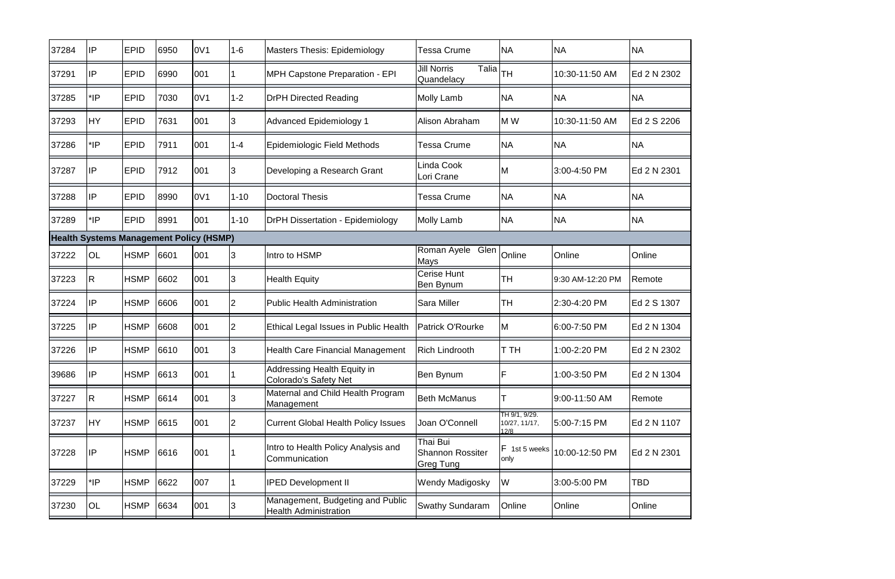| 37284                                          | IP         | <b>EPID</b> | 6950 | 0V <sub>1</sub> | $1-6$          | <b>Masters Thesis: Epidemiology</b>                                | <b>Tessa Crume</b>                        | <b>NA</b>                              | <b>NA</b>        | <b>NA</b>   |
|------------------------------------------------|------------|-------------|------|-----------------|----------------|--------------------------------------------------------------------|-------------------------------------------|----------------------------------------|------------------|-------------|
| 37291                                          | IP         | <b>EPID</b> | 6990 | 001             |                | <b>MPH Capstone Preparation - EPI</b>                              | <b>Jill Norris</b><br>Talia<br>Quandelacy | lтн                                    | 10:30-11:50 AM   | Ed 2 N 2302 |
| 37285                                          | $*$ IP     | <b>EPID</b> | 7030 | 0V1             | $1 - 2$        | <b>DrPH Directed Reading</b>                                       | Molly Lamb                                | <b>NA</b>                              | <b>NA</b>        | <b>NA</b>   |
| 37293                                          | <b>IHY</b> | <b>EPID</b> | 7631 | 001             | 3              | <b>Advanced Epidemiology 1</b>                                     | Alison Abraham                            | M W                                    | 10:30-11:50 AM   | Ed 2 S 2206 |
| 37286                                          | $*$ IP     | <b>EPID</b> | 7911 | 001             | $1 - 4$        | Epidemiologic Field Methods                                        | Tessa Crume                               | <b>NA</b>                              | <b>NA</b>        | <b>NA</b>   |
| 37287                                          | IP         | <b>EPID</b> | 7912 | 001             | 3              | Developing a Research Grant                                        | Linda Cook<br>Lori Crane                  | M                                      | 3:00-4:50 PM     | Ed 2 N 2301 |
| 37288                                          | ∣IP        | <b>EPID</b> | 8990 | 0V1             | $1 - 10$       | <b>Doctoral Thesis</b>                                             | <b>Tessa Crume</b>                        | <b>NA</b>                              | <b>NA</b>        | <b>NA</b>   |
| 37289                                          | $^*$ IP    | <b>EPID</b> | 8991 | 001             | $1 - 10$       | <b>DrPH Dissertation - Epidemiology</b>                            | Molly Lamb                                | <b>NA</b>                              | <b>NA</b>        | <b>NA</b>   |
| <b>Health Systems Management Policy (HSMP)</b> |            |             |      |                 |                |                                                                    |                                           |                                        |                  |             |
| 37222                                          | <b>OL</b>  | <b>HSMP</b> | 6601 | 001             | 3              | Intro to HSMP                                                      | Roman Ayele<br>Glen<br>Mays               | Online                                 | Online           | Online      |
| 37223                                          | IR.        | <b>HSMP</b> | 6602 | 001             | 3              | <b>Health Equity</b>                                               | <b>I</b> Cerise Hunt<br>Ben Bynum         | lТH                                    | 9:30 AM-12:20 PM | Remote      |
| 37224                                          | IP         | <b>HSMP</b> | 6606 | 001             | <b>2</b>       | <b>Public Health Administration</b>                                | <b>Sara Miller</b>                        | TH                                     | 2:30-4:20 PM     | Ed 2 S 1307 |
| 37225                                          | IP         | <b>HSMP</b> | 6608 | 001             | 2              | Ethical Legal Issues in Public Health                              | <b>Patrick O'Rourke</b>                   | M                                      | 6:00-7:50 PM     | Ed 2 N 1304 |
| 37226                                          | IP         | <b>HSMP</b> | 6610 | 001             | 3              | <b>Health Care Financial Management</b>                            | <b>Rich Lindrooth</b>                     | <b>T</b> TH                            | 1:00-2:20 PM     | Ed 2 N 2302 |
| 39686                                          | IP         | <b>HSMP</b> | 6613 | 001             |                | <b>Addressing Health Equity in</b><br><b>Colorado's Safety Net</b> | Ben Bynum                                 | ΙF                                     | 1:00-3:50 PM     | Ed 2 N 1304 |
| 37227                                          | R          | <b>HSMP</b> | 6614 | 001             | 3              | Maternal and Child Health Program<br>Management                    | <b>Beth McManus</b>                       |                                        | 9:00-11:50 AM    | Remote      |
| 37237                                          | <b>HY</b>  | <b>HSMP</b> | 6615 | 001             | $\overline{2}$ | <b>Current Global Health Policy Issues</b>                         | Joan O'Connell                            | TH 9/1, 9/29.<br>10/27, 11/17,<br>12/8 | 5:00-7:15 PM     | Ed 2 N 1107 |
| 37228                                          | <b>IP</b>  | <b>HSMP</b> | 6616 | 001             |                | Intro to Health Policy Analysis and<br>Communication               | Thai Bui<br>Shannon Rossiter<br>Greg Tung | F 1st 5 weeks<br>only                  | 10:00-12:50 PM   | Ed 2 N 2301 |
| 37229                                          | $^*$ IP    | <b>HSMP</b> | 6622 | 007             |                | <b>IPED Development II</b>                                         | <b>Wendy Madigosky</b>                    | W                                      | 3:00-5:00 PM     | TBD         |
| 37230                                          | OL         | <b>HSMP</b> | 6634 | 001             | Ι3             | Management, Budgeting and Public<br><b>Health Administration</b>   | <b>Swathy Sundaram</b>                    | Online                                 | Online           | Online      |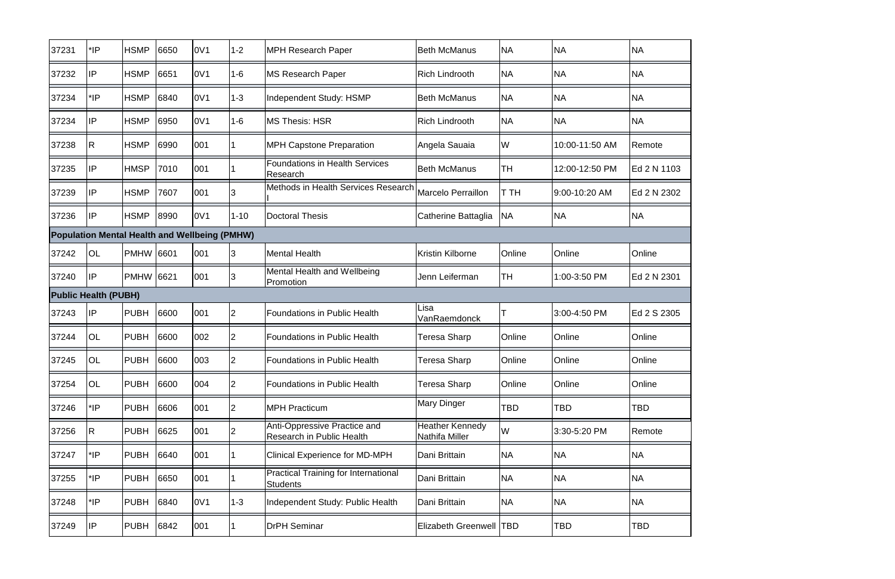| 37231                       | *IP          | <b>HSMP</b>      | 6650 | 0V1                                                  | $1 - 2$        | <b>MPH Research Paper</b>                                      | <b>Beth McManus</b>                      | <b>NA</b>   | <b>NA</b>      | <b>NA</b>   |
|-----------------------------|--------------|------------------|------|------------------------------------------------------|----------------|----------------------------------------------------------------|------------------------------------------|-------------|----------------|-------------|
| 37232                       | IP           | <b>HSMP</b>      | 6651 | 0V1                                                  | $1 - 6$        | <b>MS Research Paper</b>                                       | <b>Rich Lindrooth</b>                    | <b>NA</b>   | <b>NA</b>      | <b>NA</b>   |
| 37234                       | *IP          | <b>HSMP</b>      | 6840 | 0V1                                                  | $1 - 3$        | Independent Study: HSMP                                        | <b>Beth McManus</b>                      | <b>NA</b>   | <b>NA</b>      | <b>NA</b>   |
| 37234                       | IP           | <b>HSMP</b>      | 6950 | 0V1                                                  | $1 - 6$        | <b>MS Thesis: HSR</b>                                          | <b>Rich Lindrooth</b>                    | <b>NA</b>   | <b>NA</b>      | <b>NA</b>   |
| 37238                       | R            | <b>HSMP</b>      | 6990 | 001                                                  |                | <b>MPH Capstone Preparation</b>                                | Angela Sauaia                            | W           | 10:00-11:50 AM | Remote      |
| 37235                       | IP           | <b>HMSP</b>      | 7010 | 001                                                  |                | <b>Foundations in Health Services</b><br>Research              | <b>Beth McManus</b>                      | lтн         | 12:00-12:50 PM | Ed 2 N 1103 |
| 37239                       | IP           | <b>HSMP</b>      | 7607 | 001                                                  | 3              | Methods in Health Services Research                            | <b>Marcelo Perraillon</b>                | <b>T</b> TH | 9:00-10:20 AM  | Ed 2 N 2302 |
| 37236                       | IP           | <b>HSMP</b>      | 8990 | 0V1                                                  | $1 - 10$       | <b>Doctoral Thesis</b>                                         | Catherine Battaglia                      | <b>NA</b>   | <b>NA</b>      | <b>NA</b>   |
|                             |              |                  |      | <b>Population Mental Health and Wellbeing (PMHW)</b> |                |                                                                |                                          |             |                |             |
| 37242                       | OL           | <b>PMHW 6601</b> |      | 001                                                  | 3              | <b>Mental Health</b>                                           | <b>Kristin Kilborne</b>                  | Online      | Online         | Online      |
| 37240                       | IP           | <b>PMHW</b>      | 6621 | 001                                                  | 3              | Mental Health and Wellbeing<br>Promotion                       | Jenn Leiferman                           | lтн         | 1:00-3:50 PM   | Ed 2 N 2301 |
| <b>Public Health (PUBH)</b> |              |                  |      |                                                      |                |                                                                |                                          |             |                |             |
| 37243                       | llP          | <b>PUBH</b>      | 6600 | 001                                                  | $\overline{2}$ | <b>Foundations in Public Health</b>                            | Lisa<br>VanRaemdonck                     |             | 3:00-4:50 PM   | Ed 2 S 2305 |
| 37244                       | OL           | <b>PUBH</b>      | 6600 | 002                                                  | $\overline{2}$ | <b>Foundations in Public Health</b>                            | Teresa Sharp                             | Online      | Online         | Online      |
| 37245                       | OL           | <b>PUBH</b>      | 6600 | 003                                                  | 2              | <b>Foundations in Public Health</b>                            | <b>Teresa Sharp</b>                      | Online      | Online         | Online      |
| 37254                       | OL           | <b>PUBH</b>      | 6600 | 004                                                  | $\overline{2}$ | <b>Foundations in Public Health</b>                            | Teresa Sharp                             | Online      | Online         | Online      |
| 37246                       | $^*$ IP      | <b>PUBH</b>      | 6606 | 001                                                  | 2              | <b>MPH Practicum</b>                                           | <b>Mary Dinger</b>                       | <b>TBD</b>  | <b>TBD</b>     | <b>TBD</b>  |
| 37256                       | $\mathsf{R}$ | <b>PUBH</b>      | 6625 | 001                                                  | $\overline{2}$ | Anti-Oppressive Practice and<br>Research in Public Health      | <b>Heather Kennedy</b><br>Nathifa Miller | W           | 3:30-5:20 PM   | Remote      |
| 37247                       | $*$ IP       | PUBH             | 6640 | 001                                                  |                | <b>Clinical Experience for MD-MPH</b>                          | Dani Brittain                            | <b>NA</b>   | <b>NA</b>      | <b>NA</b>   |
| 37255                       | $^*$ IP      | <b>PUBH</b>      | 6650 | 001                                                  |                | <b>Practical Training for International</b><br><b>Students</b> | Dani Brittain                            | <b>NA</b>   | <b>NA</b>      | <b>NA</b>   |
| 37248                       | *IP          | <b>PUBH</b>      | 6840 | 0V1                                                  | $1 - 3$        | Independent Study: Public Health                               | Dani Brittain                            | <b>NA</b>   | <b>NA</b>      | <b>NA</b>   |
| 37249                       | IP           | <b>PUBH</b>      | 6842 | 001                                                  |                | <b>DrPH Seminar</b>                                            | <b>Elizabeth Greenwell TBD</b>           |             | <b>TBD</b>     | <b>TBD</b>  |